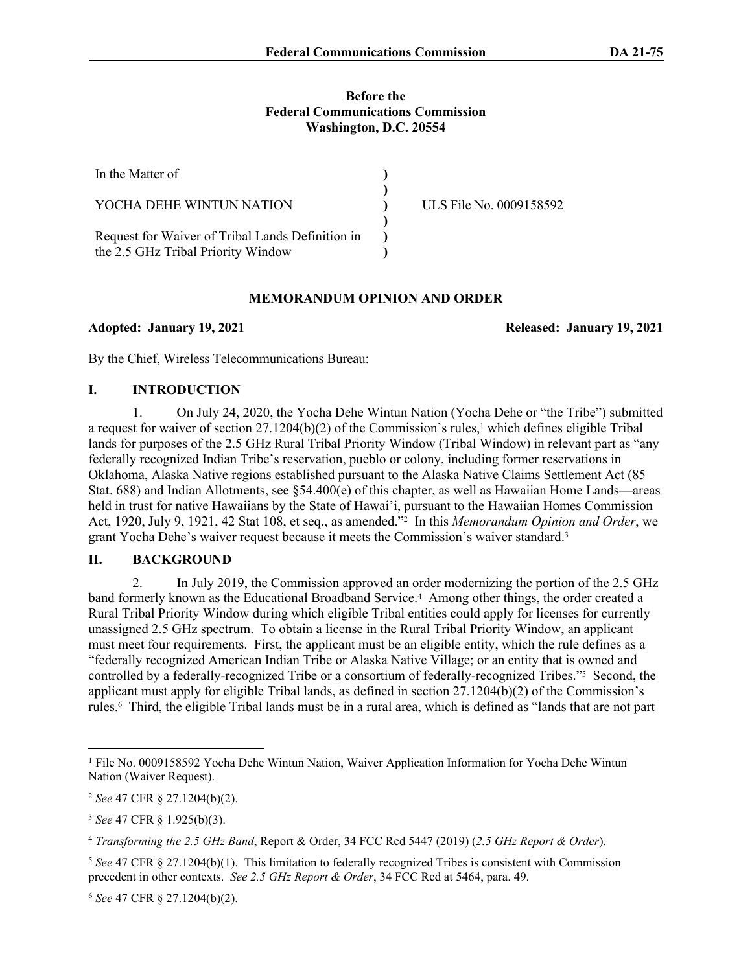#### **Before the Federal Communications Commission Washington, D.C. 20554**

| In the Matter of                                                                       |                         |
|----------------------------------------------------------------------------------------|-------------------------|
| YOCHA DEHE WINTUN NATION                                                               | ULS File No. 0009158592 |
| Request for Waiver of Tribal Lands Definition in<br>the 2.5 GHz Tribal Priority Window |                         |

### **MEMORANDUM OPINION AND ORDER**

**Adopted: January 19, 2021 Released: January 19, 2021**

By the Chief, Wireless Telecommunications Bureau:

### **I. INTRODUCTION**

1. On July 24, 2020, the Yocha Dehe Wintun Nation (Yocha Dehe or "the Tribe") submitted a request for waiver of section  $27.1204(b)(2)$  of the Commission's rules,<sup>1</sup> which defines eligible Tribal lands for purposes of the 2.5 GHz Rural Tribal Priority Window (Tribal Window) in relevant part as "any federally recognized Indian Tribe's reservation, pueblo or colony, including former reservations in Oklahoma, Alaska Native regions established pursuant to the Alaska Native Claims Settlement Act (85 Stat. 688) and Indian Allotments, see §54.400(e) of this chapter, as well as Hawaiian Home Lands—areas held in trust for native Hawaiians by the State of Hawai'i, pursuant to the Hawaiian Homes Commission Act, 1920, July 9, 1921, 42 Stat 108, et seq., as amended."<sup>2</sup> In this *Memorandum Opinion and Order*, we grant Yocha Dehe's waiver request because it meets the Commission's waiver standard.<sup>3</sup>

# **II. BACKGROUND**

2. In July 2019, the Commission approved an order modernizing the portion of the 2.5 GHz band formerly known as the Educational Broadband Service.<sup>4</sup> Among other things, the order created a Rural Tribal Priority Window during which eligible Tribal entities could apply for licenses for currently unassigned 2.5 GHz spectrum. To obtain a license in the Rural Tribal Priority Window, an applicant must meet four requirements. First, the applicant must be an eligible entity, which the rule defines as a "federally recognized American Indian Tribe or Alaska Native Village; or an entity that is owned and controlled by a federally-recognized Tribe or a consortium of federally-recognized Tribes."<sup>5</sup> Second, the applicant must apply for eligible Tribal lands, as defined in section 27.1204(b)(2) of the Commission's rules.<sup>6</sup> Third, the eligible Tribal lands must be in a rural area, which is defined as "lands that are not part

<sup>6</sup> *See* 47 CFR § 27.1204(b)(2).

<sup>1</sup> File No. 0009158592 Yocha Dehe Wintun Nation, Waiver Application Information for Yocha Dehe Wintun Nation (Waiver Request).

<sup>2</sup> *See* 47 CFR § 27.1204(b)(2).

<sup>3</sup> *See* 47 CFR § 1.925(b)(3).

<sup>4</sup> *Transforming the 2.5 GHz Band*, Report & Order, 34 FCC Rcd 5447 (2019) (*2.5 GHz Report & Order*).

<sup>5</sup> *See* 47 CFR § 27.1204(b)(1). This limitation to federally recognized Tribes is consistent with Commission precedent in other contexts. *See 2.5 GHz Report & Order*, 34 FCC Rcd at 5464, para. 49.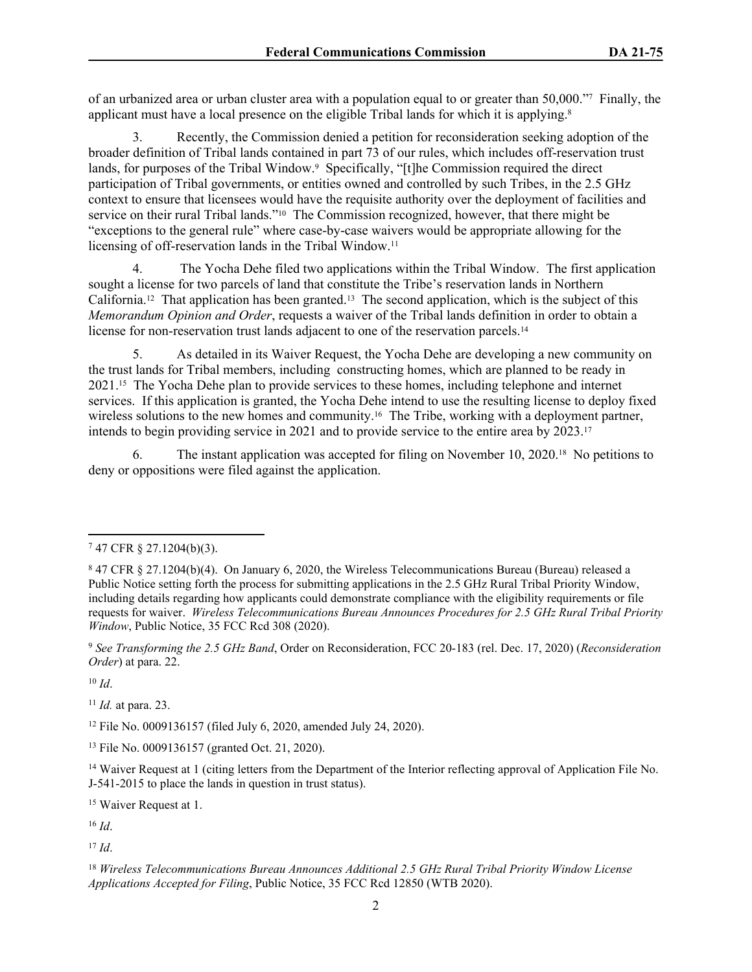of an urbanized area or urban cluster area with a population equal to or greater than 50,000."<sup>7</sup> Finally, the applicant must have a local presence on the eligible Tribal lands for which it is applying.<sup>8</sup>

3. Recently, the Commission denied a petition for reconsideration seeking adoption of the broader definition of Tribal lands contained in part 73 of our rules, which includes off-reservation trust lands, for purposes of the Tribal Window.<sup>9</sup> Specifically, "[t]he Commission required the direct participation of Tribal governments, or entities owned and controlled by such Tribes, in the 2.5 GHz context to ensure that licensees would have the requisite authority over the deployment of facilities and service on their rural Tribal lands."<sup>10</sup> The Commission recognized, however, that there might be "exceptions to the general rule" where case-by-case waivers would be appropriate allowing for the licensing of off-reservation lands in the Tribal Window.<sup>11</sup>

4. The Yocha Dehe filed two applications within the Tribal Window. The first application sought a license for two parcels of land that constitute the Tribe's reservation lands in Northern California.12 That application has been granted.13 The second application, which is the subject of this *Memorandum Opinion and Order*, requests a waiver of the Tribal lands definition in order to obtain a license for non-reservation trust lands adjacent to one of the reservation parcels.<sup>14</sup>

5. As detailed in its Waiver Request, the Yocha Dehe are developing a new community on the trust lands for Tribal members, including constructing homes, which are planned to be ready in 2021.15 The Yocha Dehe plan to provide services to these homes, including telephone and internet services. If this application is granted, the Yocha Dehe intend to use the resulting license to deploy fixed wireless solutions to the new homes and community.<sup>16</sup> The Tribe, working with a deployment partner, intends to begin providing service in 2021 and to provide service to the entire area by 2023.<sup>17</sup>

6. The instant application was accepted for filing on November 10, 2020.18 No petitions to deny or oppositions were filed against the application.

<sup>10</sup> *Id*.

<sup>11</sup> *Id.* at para. 23.

<sup>12</sup> File No. 0009136157 (filed July 6, 2020, amended July 24, 2020).

<sup>13</sup> File No. 0009136157 (granted Oct. 21, 2020).

<sup>15</sup> Waiver Request at 1.

<sup>16</sup> *Id*.

<sup>17</sup> *Id*.

<sup>7</sup> 47 CFR § 27.1204(b)(3).

<sup>8</sup> 47 CFR § 27.1204(b)(4). On January 6, 2020, the Wireless Telecommunications Bureau (Bureau) released a Public Notice setting forth the process for submitting applications in the 2.5 GHz Rural Tribal Priority Window, including details regarding how applicants could demonstrate compliance with the eligibility requirements or file requests for waiver. *Wireless Telecommunications Bureau Announces Procedures for 2.5 GHz Rural Tribal Priority Window*, Public Notice, 35 FCC Rcd 308 (2020).

<sup>9</sup> *See Transforming the 2.5 GHz Band*, Order on Reconsideration, FCC 20-183 (rel. Dec. 17, 2020) (*Reconsideration Order*) at para. 22.

<sup>&</sup>lt;sup>14</sup> Waiver Request at 1 (citing letters from the Department of the Interior reflecting approval of Application File No. J-541-2015 to place the lands in question in trust status).

<sup>18</sup> *Wireless Telecommunications Bureau Announces Additional 2.5 GHz Rural Tribal Priority Window License Applications Accepted for Filing*, Public Notice, 35 FCC Rcd 12850 (WTB 2020).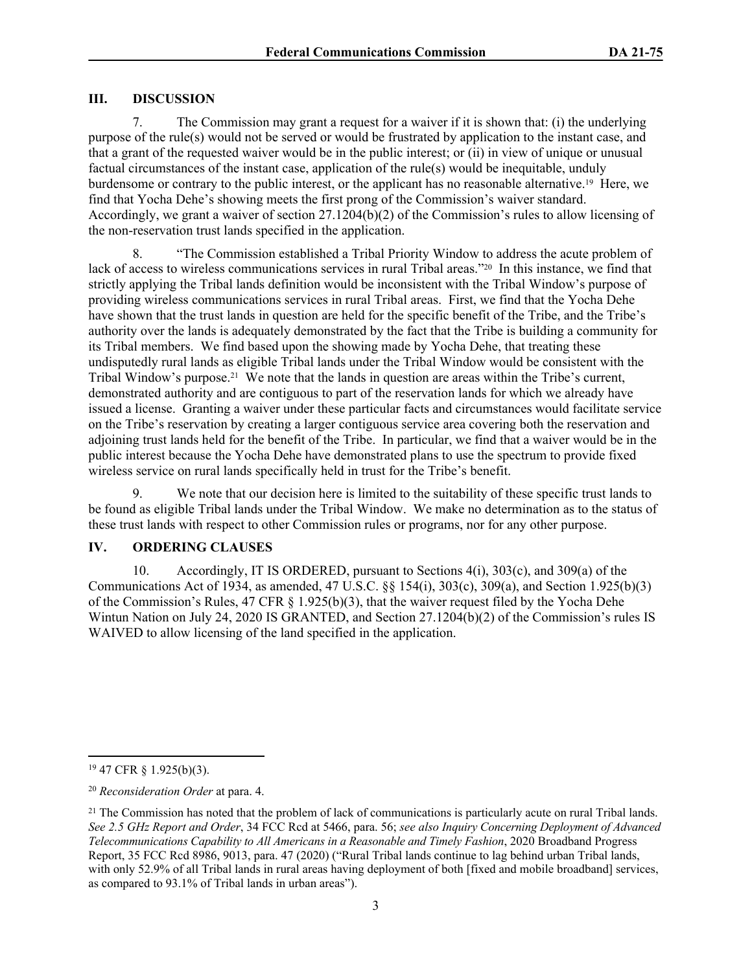# **III. DISCUSSION**

7. The Commission may grant a request for a waiver if it is shown that: (i) the underlying purpose of the rule(s) would not be served or would be frustrated by application to the instant case, and that a grant of the requested waiver would be in the public interest; or (ii) in view of unique or unusual factual circumstances of the instant case, application of the rule(s) would be inequitable, unduly burdensome or contrary to the public interest, or the applicant has no reasonable alternative.19 Here, we find that Yocha Dehe's showing meets the first prong of the Commission's waiver standard. Accordingly, we grant a waiver of section 27.1204(b)(2) of the Commission's rules to allow licensing of the non-reservation trust lands specified in the application.

8. "The Commission established a Tribal Priority Window to address the acute problem of lack of access to wireless communications services in rural Tribal areas."20 In this instance, we find that strictly applying the Tribal lands definition would be inconsistent with the Tribal Window's purpose of providing wireless communications services in rural Tribal areas. First, we find that the Yocha Dehe have shown that the trust lands in question are held for the specific benefit of the Tribe, and the Tribe's authority over the lands is adequately demonstrated by the fact that the Tribe is building a community for its Tribal members. We find based upon the showing made by Yocha Dehe, that treating these undisputedly rural lands as eligible Tribal lands under the Tribal Window would be consistent with the Tribal Window's purpose.21 We note that the lands in question are areas within the Tribe's current, demonstrated authority and are contiguous to part of the reservation lands for which we already have issued a license. Granting a waiver under these particular facts and circumstances would facilitate service on the Tribe's reservation by creating a larger contiguous service area covering both the reservation and adjoining trust lands held for the benefit of the Tribe. In particular, we find that a waiver would be in the public interest because the Yocha Dehe have demonstrated plans to use the spectrum to provide fixed wireless service on rural lands specifically held in trust for the Tribe's benefit.

9. We note that our decision here is limited to the suitability of these specific trust lands to be found as eligible Tribal lands under the Tribal Window. We make no determination as to the status of these trust lands with respect to other Commission rules or programs, nor for any other purpose.

# **IV. ORDERING CLAUSES**

10. Accordingly, IT IS ORDERED, pursuant to Sections 4(i), 303(c), and 309(a) of the Communications Act of 1934, as amended, 47 U.S.C. §§ 154(i), 303(c), 309(a), and Section 1.925(b)(3) of the Commission's Rules, 47 CFR § 1.925(b)(3), that the waiver request filed by the Yocha Dehe Wintun Nation on July 24, 2020 IS GRANTED, and Section 27.1204(b)(2) of the Commission's rules IS WAIVED to allow licensing of the land specified in the application.

<sup>19</sup> 47 CFR § 1.925(b)(3).

<sup>20</sup> *Reconsideration Order* at para. 4.

 $21$  The Commission has noted that the problem of lack of communications is particularly acute on rural Tribal lands. *See 2.5 GHz Report and Order*, 34 FCC Rcd at 5466, para. 56; *see also Inquiry Concerning Deployment of Advanced Telecommunications Capability to All Americans in a Reasonable and Timely Fashion*, 2020 Broadband Progress Report, 35 FCC Rcd 8986, 9013, para. 47 (2020) ("Rural Tribal lands continue to lag behind urban Tribal lands, with only 52.9% of all Tribal lands in rural areas having deployment of both [fixed and mobile broadband] services, as compared to 93.1% of Tribal lands in urban areas").